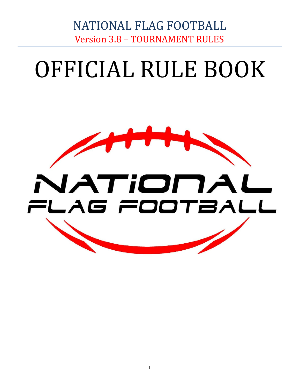# OFFICIAL RULE BOOK

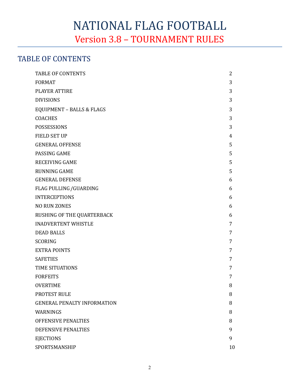### TABLE OF CONTENTS

| <b>TABLE OF CONTENTS</b>             | $\overline{2}$ |
|--------------------------------------|----------------|
| <b>FORMAT</b>                        | 3              |
| PLAYER ATTIRE                        | 3              |
| <b>DIVISIONS</b>                     | 3              |
| <b>EQUIPMENT - BALLS &amp; FLAGS</b> | 3              |
| <b>COACHES</b>                       | 3              |
| <b>POSSESSIONS</b>                   | 3              |
| <b>FIELD SET UP</b>                  | 4              |
| <b>GENERAL OFFENSE</b>               | 5              |
| PASSING GAME                         | 5              |
| <b>RECEIVING GAME</b>                | 5              |
| <b>RUNNING GAME</b>                  | 5              |
| <b>GENERAL DEFENSE</b>               | 6              |
| FLAG PULLING / GUARDING              | 6              |
| <b>INTERCEPTIONS</b>                 | 6              |
| <b>NO RUN ZONES</b>                  | 6              |
| RUSHING OF THE QUARTERBACK           | 6              |
| <b>INADVERTENT WHISTLE</b>           | 7              |
| <b>DEAD BALLS</b>                    | 7              |
| <b>SCORING</b>                       | 7              |
| <b>EXTRA POINTS</b>                  | 7              |
| <b>SAFETIES</b>                      | 7              |
| TIME SITUATIONS                      | 7              |
| <b>FORFEITS</b>                      | 7              |
| <b>OVERTIME</b>                      | 8              |
| PROTEST RULE                         | 8              |
| <b>GENERAL PENALTY INFORMATION</b>   | 8              |
| WARNINGS                             | 8              |
| <b>OFFENSIVE PENALTIES</b>           | 8              |
| <b>DEFENSIVE PENALTIES</b>           | 9              |
| <b>EJECTIONS</b>                     | 9              |
| SPORTSMANSHIP                        | 10             |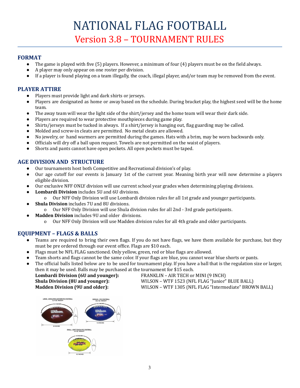#### FORMAT

- The game is played with five (5) players. However, a minimum of four (4) players must be on the field always.
- A player may only appear on one roster per division.
- If a player is found playing on a team illegally, the coach, illegal player, and/or team may be removed from the event.

#### PLAYER ATTIRE

- Players must provide light and dark shirts or jerseys.
- Players are designated as home or away based on the schedule. During bracket play, the highest seed will be the home team.
- The away team will wear the light side of the shirt/jersey and the home team will wear their dark side.
- Players are required to wear protective mouthpieces during game play.
- Shirts/jerseys must be tucked in always. If a shirt/jersey is hanging out, flag guarding may be called.
- Molded and screw-in cleats are permitted. No metal cleats are allowed.
- No jewelry, or hand warmers are permitted during the games. Hats with a brim, may be worn backwards only.
- Officials will dry off a ball upon request. Towels are not permitted on the waist of players.
- Shorts and pants cannot have open pockets. All open pockets must be taped.

#### AGE DIVISION AND STRUCTURE

- Our tournaments host both Competitive and Recreational division's of play.
- Our age cutoff for our events is January 1st of the current year. Meaning birth year will now determine a players eligible division.
- Our exclusive NFF ONLY division will use current school year grades when determining playing divisions.
- Lombardi Division includes 5U and 6U divisions.
	- o Our NFF Only Division will use Lombardi division rules for all 1st grade and younger participants.
- Shula Division includes 7U and 8U divisions.
	- o Our NFF Only Division will use Shula division rules for all 2nd 3rd grade participants.
- Madden Division includes 9U and older divisions.
	- o Our NFF Only Division will use Madden division rules for all 4th grade and older participants.

#### EQUIPMENT – FLAGS & BALLS

- Teams are required to bring their own flags. If you do not have flags, we have them available for purchase, but they must be pre ordered through our event ofice. Flags are \$10 each.
- Flags must be NFL FLAG sanctioned. Only yellow, green, red or blue flags are allowed.
- Team shorts and flags cannot be the same color. If your flags are blue, you cannot wear blue shorts or pants.
- The official balls listed below are to be used for tournament play. If you have a ball that is the regulation size or larger, then it may be used. Balls may be purchased at the tournament for \$15 each.

Lombardi Division (6U and younger): FRANKLIN – AIR TECH or MINI (9 INCH) Shula Division (8U and younger): WILSON – WTF 1523 (NFL FLAG "Junior" BLUE BALL) Madden Division (9U and older): WILSON – WTF 1305 (NFL FLAG "Intermediate" BROWN BALL)

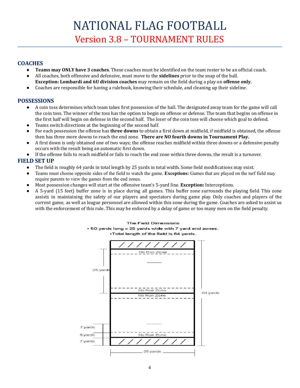#### **COACHES**

- Teams may ONLY have 3 coaches. These coaches must be identified on the team roster to be an official coach.
- All coaches, both offensive and defensive, must move to the **sidelines** prior to the snap of the ball.
- **Exception: Lombardi and 6U division coaches** may remain on the field during a play on **offense only**.
- Coaches are responsible for having a rulebook, knowing their schedule, and cleaning up their sideline.

#### **POSSESSIONS**

- A coin toss determines which team takes irst possession of the ball. The designated away team for the game will call the coin toss. The winner of the toss has the option to begin on offense or defense. The team that begins on offense in the irst half will begin on defense in the second half. The loser of the coin toss will choose which goal to defend.
- Teams switch directions at the beginning of the second half.
- For each possession the offense has **three downs** to obtain a first down at midfield, if midfield is obtained, the offense then has three more downs to reach the end zone. There are NO fourth downs in Tournament Play.
- A first down is only obtained one of two ways; the offense reaches midfield within three downs or a defensive penalty occurs with the result being an automatic first down.
- If the offense fails to reach midfield or fails to reach the end zone within three downs, the result is a turnover.

#### FIELD SET UP

- The field is roughly 64 yards in total length by 25 yards in total width. Some field modifications may exist.
- Teams must choose opposite sides of the field to watch the game. Exceptions: Games that are played on the turf field may require parents to view the games from the end zones.
- Most possession changes will start at the offensive team's 5-yard line. **Exception:** Interceptions.
- A 5-yard (15 feet) buffer zone is in place during all games. This buffer zone surrounds the playing field. This zone assists in maintaining the safety of our players and spectators during game play. Only coaches and players of the current game, as well as league personnel are allowed within this zone during the game. Coaches are asked to assist us with the enforcement of this rule. This may be enforced by a delay of game or too many men on the field penalty.

#### The Field Dimensions

. 50 yards long x 25 yards wide with 7 yard end zones.

. Total length of the field is 64 yards.

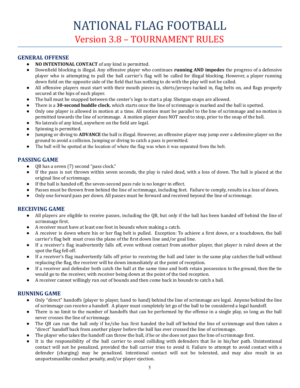#### GENERAL OFFENSE

- NO INTENTIONAL CONTACT of any kind is permitted.
- Downfield blocking is illegal. Any offensive player who continues running AND impedes the progress of a defensive player who is attempting to pull the ball carrier's lag will be called for illegal blocking. However, a player running down field on the opposite side of the field that has nothing to do with the play will not be called.
- All offensive players must start with their mouth pieces in, shirts/jerseys tucked in, flag belts on, and flags properly secured at the hips of each player.
- The ball must be snapped between the center's legs to start a play. Shotgun snaps are allowed.
- There is a 30-second huddle clock, which starts once the line of scrimmage is marked and the ball is spotted.
- Only one player is allowed in motion at a time. All motion must be parallel to the line of scrimmage and no motion is permitted towards the line of scrimmage. A motion player does NOT need to stop, prior to the snap of the ball.
- No laterals of any kind, anywhere on the field are legal.
- Spinning is permitted.
- Jumping or diving to ADVANCE the ball is illegal. However, an offensive player may jump over a defensive player on the ground to avoid a collision. Jumping or diving to catch a pass is permitted.
- The ball will be spotted at the location of where the flag was when it was separated from the belt.

#### PASSING GAME

- QB has a seven (7) second "pass clock."
- If the pass is not thrown within seven seconds, the play is ruled dead, with a loss of down. The ball is placed at the original line of scrimmage.
- If the ball is handed off, the seven-second pass rule is no longer in effect.
- Passes must be thrown from behind the line of scrimmage, including feet. Failure to comply, results in a loss of down.
- Only one forward pass per down. All passes must be forward and received beyond the line of scrimmage.

#### RECEIVING GAME

- All players are eligible to receive passes, including the QB, but only if the ball has been handed off behind the line of scrimmage first.
- A receiver must have at least one foot in bounds when making a catch.
- A receiver is down where his or her flag belt is pulled. Exception: To achieve a first down, or a touchdown, the ball carrier's flag belt must cross the plane of the first down line and/or goal line.
- If a receiver's lag inadvertently falls off, even without contact from another player, that player is ruled down at the spot the flag fell off.
- If a receiver's lag inadvertently falls off prior to receiving the ball and later in the same play catches the ball without replacing the flag, the receiver will be down immediately at the point of reception.
- If a receiver and defender both catch the ball at the same time and both retain possession to the ground, then the tie would go to the receiver, with receiver being down at the point of the tied reception.
- A receiver cannot willingly run out of bounds and then come back in bounds to catch a ball.

#### RUNNING GAME

- Only "direct" handoffs (player to player, hand to hand) behind the line of scrimmage are legal. Anyone behind the line of scrimmage can receive a handoff. A player must completely let go of the ball to be considered a legal handoff.
- There is no limit to the number of handoffs that can be performed by the offense in a single play, so long as the ball never crosses the line of scrimmage.
- The QB can run the ball only if he/she has first handed the ball off behind the line of scrimmage and then taken a "direct" handoff back from another player before the ball has ever crossed the line of scrimmage.
- The player who takes the handoff can throw the ball, if he or she does not pass the line of scrimmage irst.
- It is the responsibility of the ball carrier to avoid colliding with defenders that lie in his/her path. Unintentional contact will not be penalized, provided the ball carrier tries to avoid it. Failure to attempt to avoid contact with a defender (charging) may be penalized. Intentional contact will not be tolerated, and may also result in an unsportsmanlike conduct penalty, and/or player ejection.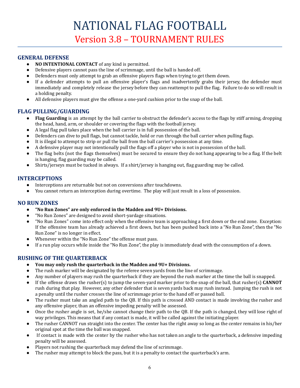#### GENERAL DEFENSE

- NO INTENTIONAL CONTACT of any kind is permitted.
- Defensive players cannot pass the line of scrimmage, until the ball is handed off.
- Defenders must only attempt to grab an offensive players flags when trying to get them down.
- If a defender attempts to pull an offensive player's flags and inadvertently grabs their jersey, the defender must immediately and completely release the jersey before they can reattempt to pull the lag. Failure to do so will result in a holding penalty.
- All defensive players must give the offense a one-yard cushion prior to the snap of the ball.

#### FLAG PULLING/GUARDING

- Flag Guarding is an attempt by the ball carrier to obstruct the defender's access to the flags by stiff arming, dropping the head, hand, arm, or shoulder or covering the flags with the football jersey.
- A legal flag pull takes place when the ball carrier is in full possession of the ball.
- Defenders can dive to pull flags, but cannot tackle, hold or run through the ball carrier when pulling flags.
- It is illegal to attempt to strip or pull the ball from the ball carrier's possession at any time.
- A defensive player may not intentionally pull the flags off a player who is not in possession of the ball.
- The flag belts (not the flags themselves) must be secured to ensure they do not hang appearing to be a flag. If the belt is hanging, flag guarding may be called.
- $\bullet$  Shirts/jerseys must be tucked in always. If a shirt/jersey is hanging out, flag guarding may be called.

#### INTERCEPTIONS

- Interceptions are returnable but not on conversions after touchdowns.
- You cannot return an interception during overtime. The play will just result in a loss of possession.

#### NO RUN ZONES

- "No Run Zones" are only enforced in the Madden and 9U+ Divisions.
- "No Run Zones" are designed to avoid short-yardage situations.
- "No Run Zones" come into effect only when the offensive team is approaching a first down or the end zone. Exception: If the offensive team has already achieved a first down, but has been pushed back into a "No Run Zone", then the "No Run Zone" is no longer in effect.
- Whenever within the "No Run Zone" the offense must pass.
- If a run play occurs while inside the "No Run Zone", the play is immediately dead with the consumption of a down.

#### RUSHING OF THE QUARTERBACK

- You may only rush the quarterback in the Madden and 9U+ Divisions.
- The rush marker will be designated by the referee seven yards from the line of scrimmage.
- Any number of players may rush the quarterback if they are beyond the rush marker at the time the ball is snapped.
- If the offense draws the rusher(s) to jump the seven-yard marker prior to the snap of the ball, that rusher(s) CANNOT rush during that play. However, any other defender that is seven yards back may rush instead. Jumping the rush is not a penalty until the rusher crosses the line of scrimmage prior to the hand off or passed ball.
- The rusher must take an angled path to the QB. If this path is crossed AND contact is made involving the rusher and any offensive player, than an offensive impeding penalty will be assessed.
- Once the rusher angle is set, he/she cannot change their path to the QB. If the path is changed, they will lose right of way privileges. This means that if any contact is made, it will be called against the initiating player.
- The rusher CANNOT run straight into the center. The center has the right away so long as the center remains in his/her original spot at the time the ball was snapped.
- If contact is made with the center by the rusher who has not taken an angle to the quarterback, a defensive impeding penalty will be assessed.
- Players not rushing the quarterback may defend the line of scrimmage.
- The rusher may attempt to block the pass, but it is a penalty to contact the quarterback's arm.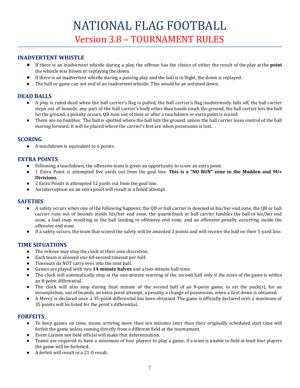#### INADVERTENT WHISTLE

- If there is an inadvertent whistle during a play, the offense has the choice of either the result of the play at the point the whistle was blown or replaying the down.
- If there is an inadvertent whistle during a passing play and the ball is in flight, the down is replayed.
- The half or game can not end of an inadvertent whistle. This would be an untimed down.

#### DEAD BALLS

- A play is ruled dead when the ball carrier's lag is pulled, the ball carrier's lag inadvertently falls off, the ball carrier steps out of bounds, any part of the ball carrier's body other than hands touch the ground, the ball carrier lets the ball hit the ground, a penalty occurs, QB runs out of time or after a touchdown or extra point is scored.
- There are no fumbles. The ball is spotted where the ball hits the ground, unless the ball carrier loses control of the ball moving forward. It will be placed where the carrier's feet are when possession is lost.

#### SCORING

● A touchdown is equivalent to 6 points.

#### EXTRA POINTS

- Following a touchdown, the offensive team is given an opportunity to score an extra point.
- 1 Extra Point is attempted five yards out from the goal line. This is a "NO RUN" zone in the Madden and  $9U<sup>+</sup>$ Divisions.
- 2 Extra Points is attempted 12 yards out from the goal line.
- An interception on an extra point will result in a failed attempt.

#### SAFETIES

- A safety occurs when one of the following happens; the QB or ball carrier is downed in his/her end zone, the QB or ball carrier runs out of bounds inside his/her end zone, the quarterback or ball carrier fumbles the ball in his/her end zone, a bad snap resulting in the ball landing in offensive end zone, and an offensive penalty occurring inside the offensive end zone.
- If a safety occurs, the team that scored the safety will be awarded 2 points and will receive the ball on their 5-yard line.

#### TIME SITUATIONS

- The referee may stop the clock at their own discretion.
- Each team is allowed one 60-second timeout per half.
- Timeouts do NOT carry over into the next half.
- Games are played with two 14-minute halves and a two-minute half-time.
- The clock will automatically stop at the one-minute warning of the second half only if the score of the game is within an 8-point differential.
- The clock will also stop during final minute of the second half of an 8-point game, to set the puck(s), for an incompletion, out of bounds, an extra point attempt, a penalty, a change of possession, when a first down is obtained.
- A Mercy is declared once a 35-point differential has been obtained. The game is officially declared over, a maximum of 35 points will be listed for the point's differential.

#### FORFEITS

- To keep games on time, teams arriving more than ten minutes later than their originally scheduled start time will forfeit the game unless coming directly from a different ield at the tournament.
- Event Liaison not field official will make that determination.
- Teams are required to have a minimum of four players to play a game; if a team is unable to field at least four players the game will be forfeited.
- A forfeit will result in a 21-0 result.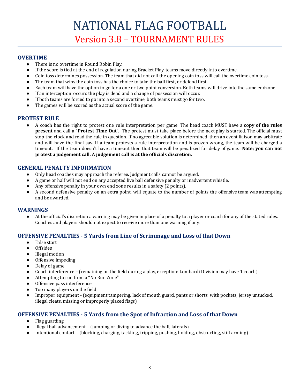#### **OVERTIME**

- There is no overtime in Round Robin Play.
- If the score is tied at the end of regulation during Bracket Play, teams move directly into overtime.
- Coin toss determines possession. The team that did not call the opening coin toss will call the overtime coin toss.
- The team that wins the coin toss has the choice to take the ball first, or defend first,
- Each team will have the option to go for a one or two point conversion. Both teams will drive into the same endzone.
- If an interception occurs the play is dead and a change of possession will occur.
- If both teams are forced to go into a second overtime, both teams must go for two.
- The games will be scored as the actual score of the game.

#### PROTEST RULE

• A coach has the right to protest one rule interpretation per game. The head coach MUST have a **copy of the rules** present and call a "Protest Time Out". The protest must take place before the next play is started. The official must stop the clock and read the rule in question. If no agreeable solution is determined, then an event liaison may arbitrate and will have the inal say. If a team protests a rule interpretation and is proven wrong, the team will be charged a timeout. If the team doesn't have a timeout then that team will be penalized for delay of game. Note; you can not protest a judgement call. A judgement call is at the officials discretion.

#### GENERAL PENALTY INFORMATION

- Only head coaches may approach the referee. Judgment calls cannot be argued.
- A game or half will not end on any accepted live ball defensive penalty or inadvertent whistle.
- Any offensive penalty in your own end zone results in a safety (2 points).
- A second defensive penalty on an extra point, will equate to the number of points the offensive team was attempting and be awarded.

#### WARNINGS

● At the official's discretion a warning may be given in place of a penalty to a player or coach for any of the stated rules. Coaches and players should not expect to receive more than one warning if any.

#### OFFENSIVE PENALTIES - 5 Yards from Line of Scrimmage and Loss of that Down

- False start
- **Offsides**
- Illegal motion
- Offensive impeding
- Delay of game
- Coach interference (remaining on the field during a play, exception: Lombardi Division may have 1 coach)
- Attempting to run from a "No Run Zone"
- Offensive pass interference
- Too many players on the field
- Improper equipment (equipment tampering, lack of mouth guard, pants or shorts with pockets, jersey untucked, illegal cleats, missing or improperly placed flags)

#### OFFENSIVE PENALTIES - 5 Yards from the Spot of Infraction and Loss of that Down

- Flag guarding
- Illegal ball advancement (jumping or diving to advance the ball, laterals)
- Intentional contact (blocking, charging, tackling, tripping, pushing, holding, obstructing, stiff arming)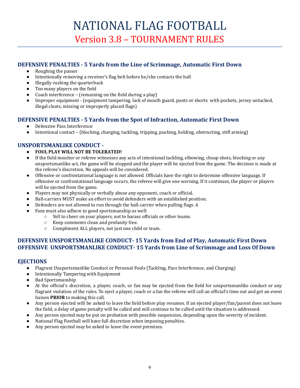#### DEFENSIVE PENALTIES - 5 Yards from the Line of Scrimmage, Automatic First Down

- Roughing the passer
- Intentionally removing a receiver's flag belt before he/she contacts the ball
- Illegally rushing the quarterback
- Too many players on the field
- Coach interference (remaining on the field during a play)
- Improper equipment (equipment tampering, lack of mouth guard, pants or shorts with pockets, jersey untucked, illegal cleats, missing or improperly placed flags)

#### DEFENSIVE PENALTIES - 5 Yards from the Spot of Infraction, Automatic First Down

- Defensive Pass Interference
- Intentional contact (blocking, charging, tackling, tripping, pushing, holding, obstructing, stiff arming)

#### UNSPORTSMANLIKE CONDUCT -

- FOUL PLAY WILL NOT BE TOLERATED!
- If the field monitor or referee witnesses any acts of intentional tackling, elbowing, cheap shots, blocking or any unsportsmanlike act, the game will be stopped and the player will be ejected from the game. The decision is made at the referee's discretion. No appeals will be considered.
- Offensive or confrontational language is not allowed. Oficials have the right to determine offensive language. If offensive or confrontational language occurs, the referee will give one warning. If it continues, the player or players will be ejected from the game.
- Players may not physically or verbally abuse any opponent, coach or oficial.
- Ball-carriers MUST make an effort to avoid defenders with an established position.
- Defenders are not allowed to run through the ball-carrier when pulling flags. 6
- Fans must also adhere to good sportsmanship as well:
	- Yell to cheer on your players, not to harass oficials or other teams.
	- Keep comments clean and profanity free.
	- Compliment ALL players, not just one child or team.

#### DEFENSIVE UNSPORTSMANLIKE CONDUCT- 15 Yards from End of Play, Automatic First Down OFFENSIVE UNSPORTSMANLIKE CONDUCT- 15 Yards from Line of Scrimmage and Loss Of Down

#### **EJECTIONS**

- Flagrant Unsportsmanlike Conduct or Personal Fouls (Tackling, Pass Interference, and Charging)
- Intentionally Tampering with Equipment
- **Bad Sportsmanship**
- At the official's discretion, a player, coach, or fan may be ejected from the field for unsportsmanlike conduct or any flagrant violation of the rules. To eject a player, coach or a fan the referee will call an official's time out and get an event liaison PRIOR to making this call.
- Any person ejected will be asked to leave the ield before play resumes. If an ejected player/fan/parent does not leave the ield, a delay of game penalty will be called and will continue to be called until the situation is addressed.
- Any person ejected may be put on probation with possible suspension, depending upon the severity of incident.
- National Flag Football will have full discretion when imposing penalties.
- Any person ejected may be asked to leave the event premises.